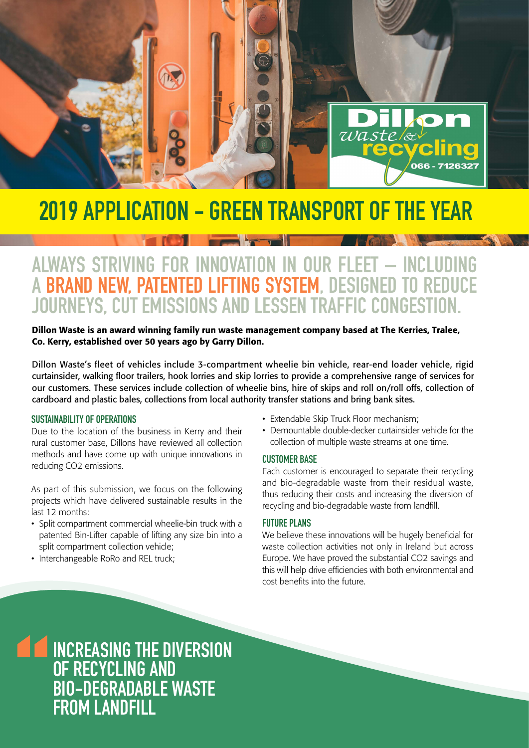

# 2019 APPLICATION - GREEN TRANSPORT OF THE YEAR

## ALWAYS STRIVING FOR INNOVATION IN OUR FLEET – INCLUDING A BRAND NEW, PATENTED LIFTING SYSTEM, DESIGNED TO REDUCE JOURNEYS, CUT EMISSIONS AND LESSEN TRAFFIC CONGESTION.

#### Dillon Waste is an award winning family run waste management company based at The Kerries, Tralee, Co. Kerry, established over 50 years ago by Garry Dillon.

Dillon Waste's fleet of vehicles include 3-compartment wheelie bin vehicle, rear-end loader vehicle, rigid curtainsider, walking floor trailers, hook lorries and skip lorries to provide a comprehensive range of services for our customers. These services include collection of wheelie bins, hire of skips and roll on/roll offs, collection of cardboard and plastic bales, collections from local authority transfer stations and bring bank sites.

#### SUSTAINABILITY OF OPERATIONS

Due to the location of the business in Kerry and their rural customer base, Dillons have reviewed all collection methods and have come up with unique innovations in reducing CO2 emissions.

As part of this submission, we focus on the following projects which have delivered sustainable results in the last 12 months:

- Split compartment commercial wheelie-bin truck with a patented Bin-Lifter capable of lifting any size bin into a split compartment collection vehicle;
- Interchangeable RoRo and REL truck;
- Extendable Skip Truck Floor mechanism;
- Demountable double-decker curtainsider vehicle for the collection of multiple waste streams at one time.

#### CUSTOMER BASE

Each customer is encouraged to separate their recycling and bio-degradable waste from their residual waste, thus reducing their costs and increasing the diversion of recycling and bio-degradable waste from landfill.

#### FUTURE PLANS

We believe these innovations will be hugely beneficial for waste collection activities not only in Ireland but across Europe. We have proved the substantial CO2 savings and this will help drive efficiencies with both environmental and cost benefits into the future.

### DILLON WAS TERRITORIALLON WAS ARRECTED AND LONGITUDE APPLICATION APPLICATION CONTINUES. INCREASING THE DIVERSION OF RECYCLING AND BIO-DEGRADABLE WASTE FROM LANDFILL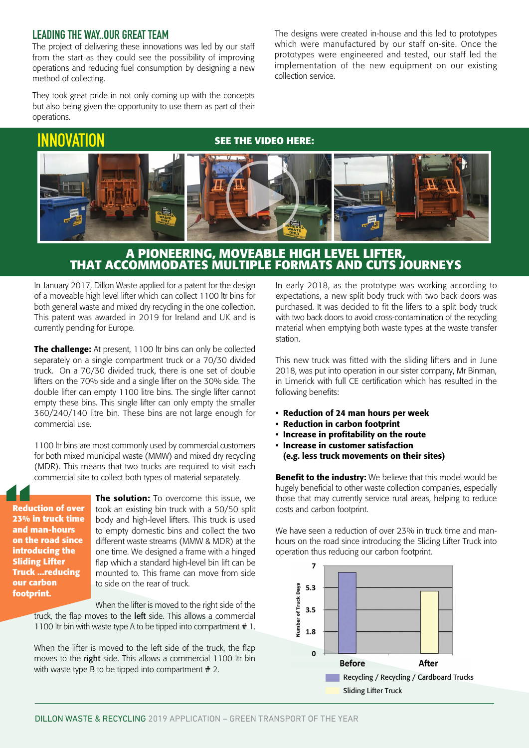#### LEADING THE WAY..OUR GREAT TEAM

The project of delivering these innovations was led by our staff from the start as they could see the possibility of improving operations and reducing fuel consumption by designing a new method of collecting.

They took great pride in not only coming up with the concepts but also being given the opportunity to use them as part of their operations.

## [INNOVATION](http://vimeo.com/356451969/ca5cad44ad)

#### **SEE THE VIDEO HERE:**

collection service.



#### **A PIONEERING, MOVEABLE HIGH LEVEL LIFTER, THAT ACCOMMODATES MULTIPLE FORMATS AND CUTS JOURNEYS**

In January 2017, Dillon Waste applied for a patent for the design of a moveable high level lifter which can collect 1100 ltr bins for both general waste and mixed dry recycling in the one collection. This patent was awarded in 2019 for Ireland and UK and is currently pending for Europe.

The challenge: At present, 1100 ltr bins can only be collected separately on a single compartment truck or a 70/30 divided truck. On a 70/30 divided truck, there is one set of double lifters on the 70% side and a single lifter on the 30% side. The double lifter can empty 1100 litre bins. The single lifter cannot empty these bins. This single lifter can only empty the smaller 360/240/140 litre bin. These bins are not large enough for commercial use.

1100 ltr bins are most commonly used by commercial customers for both mixed municipal waste (MMW) and mixed dry recycling (MDR). This means that two trucks are required to visit each commercial site to collect both types of material separately.

**Reduction of over 23% in truck time and man-hours on the road since introducing the Sliding Lifter Truck ...reducing our carbon footprint.**

**The solution:** To overcome this issue, we took an existing bin truck with a 50/50 split body and high-level lifters. This truck is used to empty domestic bins and collect the two different waste streams (MMW & MDR) at the one time. We designed a frame with a hinged flap which a standard high-level bin lift can be mounted to. This frame can move from side to side on the rear of truck.

When the lifter is moved to the right side of the truck, the flap moves to the left side. This allows a commercial 1100 ltr bin with waste type A to be tipped into compartment # 1.

When the lifter is moved to the left side of the truck, the flap moves to the right side. This allows a commercial 1100 ltr bin with waste type B to be tipped into compartment #2.

In early 2018, as the prototype was working according to expectations, a new split body truck with two back doors was purchased. It was decided to fit the lifers to a split body truck with two back doors to avoid cross-contamination of the recycling material when emptying both waste types at the waste transfer station.

The designs were created in-house and this led to prototypes which were manufactured by our staff on-site. Once the prototypes were engineered and tested, our staff led the implementation of the new equipment on our existing

This new truck was fitted with the sliding lifters and in June 2018, was put into operation in our sister company, Mr Binman, in Limerick with full CE certification which has resulted in the following benefits:

- Reduction of 24 man hours per week
- Reduction in carbon footprint
- Increase in profitability on the route
- Increase in customer satisfaction
- (e.g. less truck movements on their sites)

**Benefit to the industry:** We believe that this model would be hugely beneficial to other waste collection companies, especially those that may currently service rural areas, helping to reduce costs and carbon footprint.

We have seen a reduction of over 23% in truck time and manhours on the road since introducing the Sliding Lifter Truck into operation thus reducing our carbon footprint.

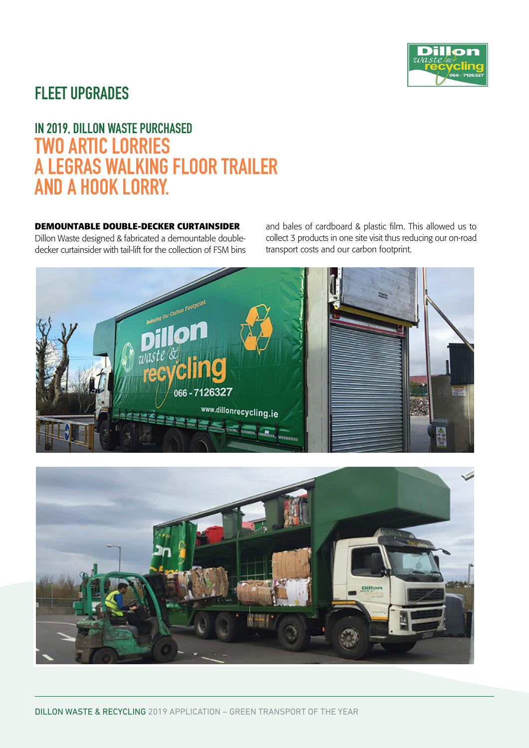

## FLEET UPGRADES

## IN 2019, DILLON WASTE PURCHASED TWO ARTIC LORRIES A LEGRAS WALKING FLOOR TRAILER AND A HOOK LORRY.

#### **DEMOUNTABLE DOUBLE-DECKER CURTAINSIDER**

Dillon Waste designed & fabricated a demountable doubledecker curtainsider with tail-lift for the collection of FSM bins and bales of cardboard & plastic film. This allowed us to collect 3 products in one site visit thus reducing our on-road transport costs and our carbon footprint.